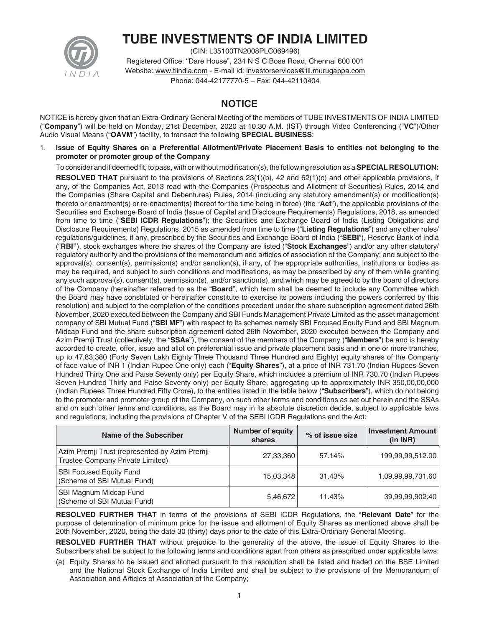

# **TUBE INVESTMENTS OF INDIA LIMITED**

(CIN: L35100TN2008PLC069496) Registered Office: "Dare House", 234 N S C Bose Road, Chennai 600 001 Website: www.tiindia.com - E-mail id: investorservices@tii.murugappa.com Phone: 044-42177770-5 – Fax: 044-42110404

# **NOTICE**

NOTICE is hereby given that an Extra-Ordinary General Meeting of the members of TUBE INVESTMENTS OF INDIA LIMITED ("**Company**") will be held on Monday, 21st December, 2020 at 10.30 A.M. (IST) through Video Conferencing ("**VC**")/Other Audio Visual Means ("**OAVM**") facility, to transact the following **SPECIAL BUSINESS**:

1. **Issue of Equity Shares on a Preferential Allotment/Private Placement Basis to entities not belonging to the promoter or promoter group of the Company**

To consider and if deemed fit, to pass, with or without modification(s), the following resolution as a **SPECIAL RESOLUTION:** 

**RESOLVED THAT** pursuant to the provisions of Sections 23(1)(b), 42 and 62(1)(c) and other applicable provisions, if any, of the Companies Act, 2013 read with the Companies (Prospectus and Allotment of Securities) Rules, 2014 and the Companies (Share Capital and Debentures) Rules, 2014 (including any statutory amendment(s) or modification(s) thereto or enactment(s) or re-enactment(s) thereof for the time being in force) (the "**Act**"), the applicable provisions of the Securities and Exchange Board of India (Issue of Capital and Disclosure Requirements) Regulations, 2018, as amended from time to time ("**SEBI ICDR Regulations**"); the Securities and Exchange Board of India (Listing Obligations and Disclosure Requirements) Regulations, 2015 as amended from time to time ("**Listing Regulations**") and any other rules/ regulations/guidelines, if any, prescribed by the Securities and Exchange Board of India ("**SEBI**"), Reserve Bank of India ("**RBI"**), stock exchanges where the shares of the Company are listed ("**Stock Exchanges**") and/or any other statutory/ regulatory authority and the provisions of the memorandum and articles of association of the Company; and subject to the approval(s), consent(s), permission(s) and/or sanction(s), if any, of the appropriate authorities, institutions or bodies as may be required, and subject to such conditions and modifications, as may be prescribed by any of them while granting any such approval(s), consent(s), permission(s), and/or sanction(s), and which may be agreed to by the board of directors of the Company (hereinafter referred to as the "**Board**", which term shall be deemed to include any Committee which the Board may have constituted or hereinafter constitute to exercise its powers including the powers conferred by this resolution) and subject to the completion of the conditions precedent under the share subscription agreement dated 26th November, 2020 executed between the Company and SBI Funds Management Private Limited as the asset management company of SBI Mutual Fund ("**SBI MF**") with respect to its schemes namely SBI Focused Equity Fund and SBI Magnum Midcap Fund and the share subscription agreement dated 26th November, 2020 executed between the Company and Azim Premji Trust (collectively, the "**SSAs**"), the consent of the members of the Company ("**Members**") be and is hereby accorded to create, offer, issue and allot on preferential issue and private placement basis and in one or more tranches, up to 47,83,380 (Forty Seven Lakh Eighty Three Thousand Three Hundred and Eighty) equity shares of the Company of face value of INR 1 (Indian Rupee One only) each ("**Equity Shares**"), at a price of INR 731.70 (Indian Rupees Seven Hundred Thirty One and Paise Seventy only) per Equity Share, which includes a premium of INR 730.70 (Indian Rupees Seven Hundred Thirty and Paise Seventy only) per Equity Share, aggregating up to approximately INR 350,00,00,000 (Indian Rupees Three Hundred Fifty Crore), to the entities listed in the table below ("**Subscribers**"), which do not belong to the promoter and promoter group of the Company, on such other terms and conditions as set out herein and the SSAs and on such other terms and conditions, as the Board may in its absolute discretion decide, subject to applicable laws and regulations, including the provisions of Chapter V of the SEBI ICDR Regulations and the Act:

| Name of the Subscriber                                                            | <b>Number of equity</b><br>shares | % of issue size | <b>Investment Amount</b><br>(in INR) |
|-----------------------------------------------------------------------------------|-----------------------------------|-----------------|--------------------------------------|
| Azim Premji Trust (represented by Azim Premji<br>Trustee Company Private Limited) | 27,33,360                         | 57.14%          | 199,99,99,512.00                     |
| <b>SBI Focused Equity Fund</b><br>(Scheme of SBI Mutual Fund)                     | 15,03,348                         | 31.43%          | 1,09,99,99,731.60                    |
| SBI Magnum Midcap Fund<br>(Scheme of SBI Mutual Fund)                             | 5,46,672                          | 11.43%          | 39,99,99,902.40                      |

 **RESOLVED FURTHER THAT** in terms of the provisions of SEBI ICDR Regulations, the "**Relevant Date**" for the purpose of determination of minimum price for the issue and allotment of Equity Shares as mentioned above shall be 20th November, 2020, being the date 30 (thirty) days prior to the date of this Extra-Ordinary General Meeting.

 **RESOLVED FURTHER THAT** without prejudice to the generality of the above, the issue of Equity Shares to the Subscribers shall be subject to the following terms and conditions apart from others as prescribed under applicable laws:

 (a) Equity Shares to be issued and allotted pursuant to this resolution shall be listed and traded on the BSE Limited and the National Stock Exchange of India Limited and shall be subject to the provisions of the Memorandum of Association and Articles of Association of the Company;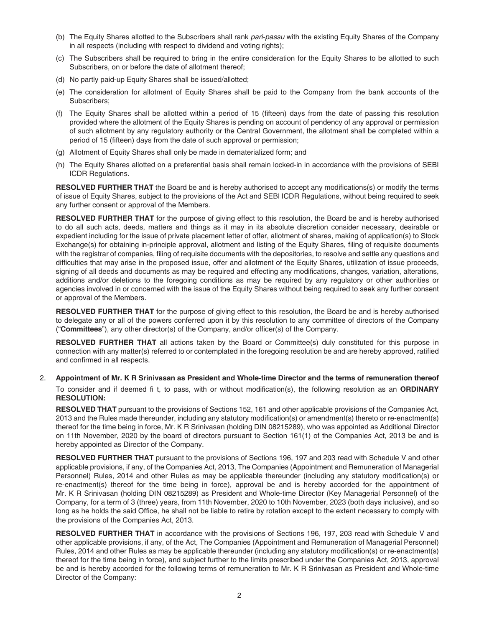- (b) The Equity Shares allotted to the Subscribers shall rank *pari-passu* with the existing Equity Shares of the Company in all respects (including with respect to dividend and voting rights);
- (c) The Subscribers shall be required to bring in the entire consideration for the Equity Shares to be allotted to such Subscribers, on or before the date of allotment thereof;
- (d) No partly paid-up Equity Shares shall be issued/allotted;
- (e) The consideration for allotment of Equity Shares shall be paid to the Company from the bank accounts of the Subscribers;
- (f) The Equity Shares shall be allotted within a period of 15 (fifteen) days from the date of passing this resolution provided where the allotment of the Equity Shares is pending on account of pendency of any approval or permission of such allotment by any regulatory authority or the Central Government, the allotment shall be completed within a period of 15 (fifteen) days from the date of such approval or permission;
- (g) Allotment of Equity Shares shall only be made in dematerialized form; and
- (h) The Equity Shares allotted on a preferential basis shall remain locked-in in accordance with the provisions of SEBI ICDR Regulations.

**RESOLVED FURTHER THAT** the Board be and is hereby authorised to accept any modifications(s) or modify the terms of issue of Equity Shares, subject to the provisions of the Act and SEBI ICDR Regulations, without being required to seek any further consent or approval of the Members.

 **RESOLVED FURTHER THAT** for the purpose of giving effect to this resolution, the Board be and is hereby authorised to do all such acts, deeds, matters and things as it may in its absolute discretion consider necessary, desirable or expedient including for the issue of private placement letter of offer, allotment of shares, making of application(s) to Stock Exchange(s) for obtaining in-principle approval, allotment and listing of the Equity Shares, filing of requisite documents with the registrar of companies, filing of requisite documents with the depositories, to resolve and settle any questions and difficulties that may arise in the proposed issue, offer and allotment of the Equity Shares, utilization of issue proceeds, signing of all deeds and documents as may be required and effecting any modifications, changes, variation, alterations, additions and/or deletions to the foregoing conditions as may be required by any regulatory or other authorities or agencies involved in or concerned with the issue of the Equity Shares without being required to seek any further consent or approval of the Members.

 **RESOLVED FURTHER THAT** for the purpose of giving effect to this resolution, the Board be and is hereby authorised to delegate any or all of the powers conferred upon it by this resolution to any committee of directors of the Company ("**Committees**"), any other director(s) of the Company, and/or officer(s) of the Company.

 **RESOLVED FURTHER THAT** all actions taken by the Board or Committee(s) duly constituted for this purpose in connection with any matter(s) referred to or contemplated in the foregoing resolution be and are hereby approved, ratified and confirmed in all respects.

2. **Appointment of Mr. K R Srinivasan as President and Whole-time Director and the terms of remuneration thereof** To consider and if deemed fi t, to pass, with or without modification(s), the following resolution as an **ORDINARY RESOLUTION:**

 **RESOLVED THAT** pursuant to the provisions of Sections 152, 161 and other applicable provisions of the Companies Act, 2013 and the Rules made thereunder, including any statutory modification(s) or amendment(s) thereto or re-enactment(s) thereof for the time being in force, Mr. K R Srinivasan (holding DIN 08215289), who was appointed as Additional Director on 11th November, 2020 by the board of directors pursuant to Section 161(1) of the Companies Act, 2013 be and is hereby appointed as Director of the Company.

 **RESOLVED FURTHER THAT** pursuant to the provisions of Sections 196, 197 and 203 read with Schedule V and other applicable provisions, if any, of the Companies Act, 2013, The Companies (Appointment and Remuneration of Managerial Personnel) Rules, 2014 and other Rules as may be applicable thereunder (including any statutory modification(s) or re-enactment(s) thereof for the time being in force), approval be and is hereby accorded for the appointment of Mr. K R Srinivasan (holding DIN 08215289) as President and Whole-time Director (Key Managerial Personnel) of the Company, for a term of 3 (three) years, from 11th November, 2020 to 10th November, 2023 (both days inclusive), and so long as he holds the said Office, he shall not be liable to retire by rotation except to the extent necessary to comply with the provisions of the Companies Act, 2013.

 **RESOLVED FURTHER THAT** in accordance with the provisions of Sections 196, 197, 203 read with Schedule V and other applicable provisions, if any, of the Act, The Companies (Appointment and Remuneration of Managerial Personnel) Rules, 2014 and other Rules as may be applicable thereunder (including any statutory modification(s) or re-enactment(s) thereof for the time being in force), and subject further to the limits prescribed under the Companies Act, 2013, approval be and is hereby accorded for the following terms of remuneration to Mr. K R Srinivasan as President and Whole-time Director of the Company: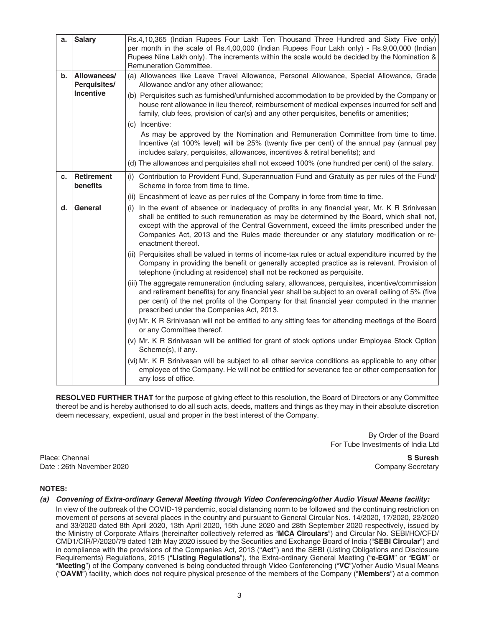| a. | <b>Salary</b>               | Rs.4,10,365 (Indian Rupees Four Lakh Ten Thousand Three Hundred and Sixty Five only)<br>per month in the scale of Rs.4,00,000 (Indian Rupees Four Lakh only) - Rs.9,00,000 (Indian<br>Rupees Nine Lakh only). The increments within the scale would be decided by the Nomination &<br>Remuneration Committee.                                                                                              |
|----|-----------------------------|------------------------------------------------------------------------------------------------------------------------------------------------------------------------------------------------------------------------------------------------------------------------------------------------------------------------------------------------------------------------------------------------------------|
| b. | Allowances/<br>Perquisites/ | (a) Allowances like Leave Travel Allowance, Personal Allowance, Special Allowance, Grade<br>Allowance and/or any other allowance;                                                                                                                                                                                                                                                                          |
|    | Incentive                   | (b) Perquisites such as furnished/unfurnished accommodation to be provided by the Company or<br>house rent allowance in lieu thereof, reimbursement of medical expenses incurred for self and<br>family, club fees, provision of car(s) and any other perquisites, benefits or amenities;                                                                                                                  |
|    |                             | (c) Incentive:<br>As may be approved by the Nomination and Remuneration Committee from time to time.<br>Incentive (at 100% level) will be 25% (twenty five per cent) of the annual pay (annual pay<br>includes salary, perquisites, allowances, incentives & retiral benefits); and<br>(d) The allowances and perquisites shall not exceed 100% (one hundred per cent) of the salary.                      |
| C. | <b>Retirement</b>           | (i) Contribution to Provident Fund, Superannuation Fund and Gratuity as per rules of the Fund/                                                                                                                                                                                                                                                                                                             |
|    | benefits                    | Scheme in force from time to time.<br>(ii) Encashment of leave as per rules of the Company in force from time to time.                                                                                                                                                                                                                                                                                     |
| d. | General                     | (i) In the event of absence or inadequacy of profits in any financial year, Mr. K R Srinivasan<br>shall be entitled to such remuneration as may be determined by the Board, which shall not,<br>except with the approval of the Central Government, exceed the limits prescribed under the<br>Companies Act, 2013 and the Rules made thereunder or any statutory modification or re-<br>enactment thereof. |
|    |                             | (ii) Perquisites shall be valued in terms of income-tax rules or actual expenditure incurred by the<br>Company in providing the benefit or generally accepted practice as is relevant. Provision of<br>telephone (including at residence) shall not be reckoned as perquisite.                                                                                                                             |
|    |                             | (iii) The aggregate remuneration (including salary, allowances, perquisites, incentive/commission<br>and retirement benefits) for any financial year shall be subject to an overall ceiling of 5% (five<br>per cent) of the net profits of the Company for that financial year computed in the manner<br>prescribed under the Companies Act, 2013.                                                         |
|    |                             | (iv) Mr. K R Srinivasan will not be entitled to any sitting fees for attending meetings of the Board<br>or any Committee thereof.                                                                                                                                                                                                                                                                          |
|    |                             | (v) Mr. K R Srinivasan will be entitled for grant of stock options under Employee Stock Option<br>Scheme(s), if any.                                                                                                                                                                                                                                                                                       |
|    |                             | (vi) Mr. K R Srinivasan will be subject to all other service conditions as applicable to any other<br>employee of the Company. He will not be entitled for severance fee or other compensation for<br>any loss of office.                                                                                                                                                                                  |

 **RESOLVED FURTHER THAT** for the purpose of giving effect to this resolution, the Board of Directors or any Committee thereof be and is hereby authorised to do all such acts, deeds, matters and things as they may in their absolute discretion deem necessary, expedient, usual and proper in the best interest of the Company.

> By Order of the Board For Tube Investments of India Ltd

Place: Chennai **S Suresh** Date : 26th November 2020 Company Secretary

# **NOTES:**

## *(a) Convening of Extra-ordinary General Meeting through Video Conferencing/other Audio Visual Means facility:*

 In view of the outbreak of the COVID-19 pandemic, social distancing norm to be followed and the continuing restriction on movement of persons at several places in the country and pursuant to General Circular Nos. 14/2020, 17/2020, 22/2020 and 33/2020 dated 8th April 2020, 13th April 2020, 15th June 2020 and 28th September 2020 respectively, issued by the Ministry of Corporate Affairs (hereinafter collectively referred as "**MCA Circulars**") and Circular No. SEBI/HO/CFD/ CMD1/CIR/P/2020/79 dated 12th May 2020 issued by the Securities and Exchange Board of India ("**SEBI Circular**") and in compliance with the provisions of the Companies Act, 2013 ("**Act**'') and the SEBI (Listing Obligations and Disclosure Requirements) Regulations, 2015 ("**Listing Regulations**"), the Extra-ordinary General Meeting ("**e-EGM**" or "**EGM**" or "**Meeting**") of the Company convened is being conducted through Video Conferencing ("**VC**")/other Audio Visual Means ("**OAVM**") facility, which does not require physical presence of the members of the Company ("**Members**") at a common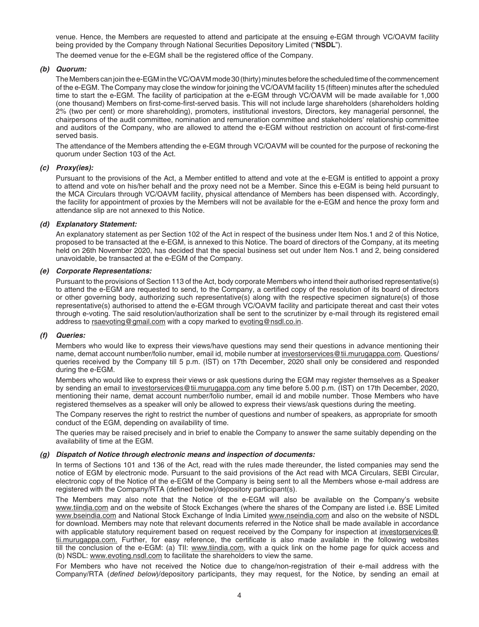venue. Hence, the Members are requested to attend and participate at the ensuing e-EGM through VC/OAVM facility being provided by the Company through National Securities Depository Limited ("**NSDL**").

The deemed venue for the e-EGM shall be the registered office of the Company.

# *(b) Quorum:*

 The Members can join the e-EGM in the VC/OAVM mode 30 (thirty) minutes before the scheduled time of the commencement of the e-EGM. The Company may close the window for joining the VC/OAVM facility 15 (fi fteen) minutes after the scheduled time to start the e-EGM. The facility of participation at the e-EGM through VC/OAVM will be made available for 1,000 (one thousand) Members on first-come-first-served basis. This will not include large shareholders (shareholders holding 2% (two per cent) or more shareholding), promoters, institutional investors, Directors, key managerial personnel, the chairpersons of the audit committee, nomination and remuneration committee and stakeholders' relationship committee and auditors of the Company, who are allowed to attend the e-EGM without restriction on account of first-come-first served basis.

 The attendance of the Members attending the e-EGM through VC/OAVM will be counted for the purpose of reckoning the quorum under Section 103 of the Act.

# *(c) Proxy(ies):*

 Pursuant to the provisions of the Act, a Member entitled to attend and vote at the e-EGM is entitled to appoint a proxy to attend and vote on his/her behalf and the proxy need not be a Member. Since this e-EGM is being held pursuant to the MCA Circulars through VC/OAVM facility, physical attendance of Members has been dispensed with. Accordingly, the facility for appointment of proxies by the Members will not be available for the e-EGM and hence the proxy form and attendance slip are not annexed to this Notice.

## *(d) Explanatory Statement:*

 An explanatory statement as per Section 102 of the Act in respect of the business under Item Nos.1 and 2 of this Notice, proposed to be transacted at the e-EGM, is annexed to this Notice. The board of directors of the Company, at its meeting held on 26th November 2020, has decided that the special business set out under Item Nos.1 and 2, being considered unavoidable, be transacted at the e-EGM of the Company.

## *(e) Corporate Representations:*

 Pursuant to the provisions of Section 113 of the Act, body corporate Members who intend their authorised representative(s) to attend the e-EGM are requested to send, to the Company, a certified copy of the resolution of its board of directors or other governing body, authorizing such representative(s) along with the respective specimen signature(s) of those representative(s) authorised to attend the e-EGM through VC/OAVM facility and participate thereat and cast their votes through e-voting. The said resolution/authorization shall be sent to the scrutinizer by e-mail through its registered email address to rsaevoting@gmail.com with a copy marked to evoting@nsdl.co.in.

## *(f) Queries:*

 Members who would like to express their views/have questions may send their questions in advance mentioning their name, demat account number/folio number, email id, mobile number at investorservices@tii.murugappa.com. Questions/ queries received by the Company till 5 p.m. (IST) on 17th December, 2020 shall only be considered and responded during the e-EGM.

 Members who would like to express their views or ask questions during the EGM may register themselves as a Speaker by sending an email to investorservices@tii.murugappa.com any time before 5.00 p.m. (IST) on 17th December, 2020, mentioning their name, demat account number/folio number, email id and mobile number. Those Members who have registered themselves as a speaker will only be allowed to express their views/ask questions during the meeting.

 The Company reserves the right to restrict the number of questions and number of speakers, as appropriate for smooth conduct of the EGM, depending on availability of time.

 The queries may be raised precisely and in brief to enable the Company to answer the same suitably depending on the availability of time at the EGM.

## *(g) Dispatch of Notice through electronic means and inspection of documents:*

 In terms of Sections 101 and 136 of the Act, read with the rules made thereunder, the listed companies may send the notice of EGM by electronic mode. Pursuant to the said provisions of the Act read with MCA Circulars, SEBI Circular, electronic copy of the Notice of the e-EGM of the Company is being sent to all the Members whose e-mail address are registered with the Company/RTA (defined below)/depository participant(s).

 The Members may also note that the Notice of the e-EGM will also be available on the Company's website www.tiindia.com and on the website of Stock Exchanges (where the shares of the Company are listed i.e. BSE Limited www.bseindia.com and National Stock Exchange of India Limited www.nseindia.com and also on the website of NSDL for download. Members may note that relevant documents referred in the Notice shall be made available in accordance with applicable statutory requirement based on request received by the Company for inspection at investorservices@ tii.murugappa.com. Further, for easy reference, the certificate is also made available in the following websites till the conclusion of the e-EGM: (a) TII: www.tiindia.com, with a quick link on the home page for quick access and (b) NSDL: www.evoting.nsdl.com to facilitate the shareholders to view the same.

 For Members who have not received the Notice due to change/non-registration of their e-mail address with the Company/RTA (*defined below*)/depository participants, they may request, for the Notice, by sending an email at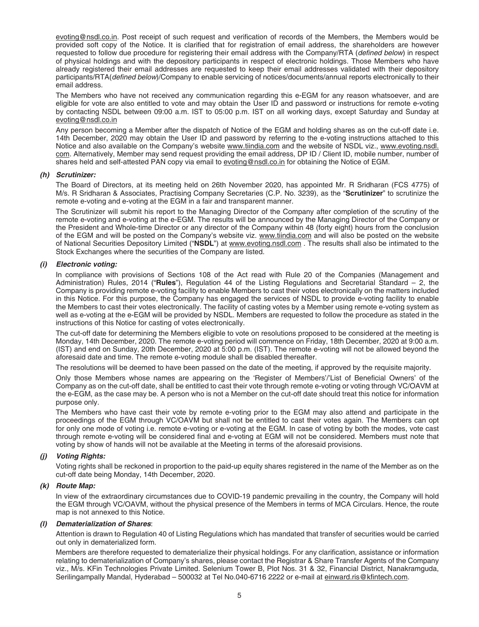evoting@nsdl.co.in. Post receipt of such request and verification of records of the Members, the Members would be provided soft copy of the Notice. It is clarified that for registration of email address, the shareholders are however requested to follow due procedure for registering their email address with the Company/RTA (*defined below*) in respect of physical holdings and with the depository participants in respect of electronic holdings. Those Members who have already registered their email addresses are requested to keep their email addresses validated with their depository participants/RTA(*defined below*)/Company to enable servicing of notices/documents/annual reports electronically to their email address.

 The Members who have not received any communication regarding this e-EGM for any reason whatsoever, and are eligible for vote are also entitled to vote and may obtain the User ID and password or instructions for remote e-voting by contacting NSDL between 09:00 a.m. IST to 05:00 p.m. IST on all working days, except Saturday and Sunday at evoting@nsdl.co.in

 Any person becoming a Member after the dispatch of Notice of the EGM and holding shares as on the cut-off date i.e. 14th December, 2020 may obtain the User ID and password by referring to the e-voting instructions attached to this Notice and also available on the Company's website www.tiindia.com and the website of NSDL viz., www.evoting.nsdl. com. Alternatively, Member may send request providing the email address, DP ID / Client ID, mobile number, number of shares held and self-attested PAN copy via email to evoting@nsdl.co.in for obtaining the Notice of EGM.

## *(h) Scrutinizer:*

 The Board of Directors, at its meeting held on 26th November 2020, has appointed Mr. R Sridharan (FCS 4775) of M/s. R Sridharan & Associates, Practising Company Secretaries (C.P. No. 3239), as the "**Scrutinizer**" to scrutinize the remote e-voting and e-voting at the EGM in a fair and transparent manner.

 The Scrutinizer will submit his report to the Managing Director of the Company after completion of the scrutiny of the remote e-voting and e-voting at the e-EGM. The results will be announced by the Managing Director of the Company or the President and Whole-time Director or any director of the Company within 48 (forty eight) hours from the conclusion of the EGM and will be posted on the Company's website viz. www.tiindia.com and will also be posted on the website of National Securities Depository Limited ("**NSDL**") at www.evoting.nsdl.com . The results shall also be intimated to the Stock Exchanges where the securities of the Company are listed.

#### *(i) Electronic voting:*

 In compliance with provisions of Sections 108 of the Act read with Rule 20 of the Companies (Management and Administration) Rules, 2014 ("**Rules**"), Regulation 44 of the Listing Regulations and Secretarial Standard – 2, the Company is providing remote e-voting facility to enable Members to cast their votes electronically on the matters included in this Notice. For this purpose, the Company has engaged the services of NSDL to provide e-voting facility to enable the Members to cast their votes electronically. The facility of casting votes by a Member using remote e-voting system as well as e-voting at the e-EGM will be provided by NSDL. Members are requested to follow the procedure as stated in the instructions of this Notice for casting of votes electronically.

 The cut-off date for determining the Members eligible to vote on resolutions proposed to be considered at the meeting is Monday, 14th December, 2020. The remote e-voting period will commence on Friday, 18th December, 2020 at 9:00 a.m. (IST) and end on Sunday, 20th December, 2020 at 5:00 p.m. (IST). The remote e-voting will not be allowed beyond the aforesaid date and time. The remote e-voting module shall be disabled thereafter.

The resolutions will be deemed to have been passed on the date of the meeting, if approved by the requisite majority.

Only those Members whose names are appearing on the 'Register of Members'/'List of Beneficial Owners' of the Company as on the cut-off date, shall be entitled to cast their vote through remote e-voting or voting through VC/OAVM at the e-EGM, as the case may be. A person who is not a Member on the cut-off date should treat this notice for information purpose only.

 The Members who have cast their vote by remote e-voting prior to the EGM may also attend and participate in the proceedings of the EGM through VC/OAVM but shall not be entitled to cast their votes again. The Members can opt for only one mode of voting i.e. remote e-voting or e-voting at the EGM. In case of voting by both the modes, vote cast through remote e-voting will be considered final and e-voting at EGM will not be considered. Members must note that voting by show of hands will not be available at the Meeting in terms of the aforesaid provisions.

# *(j) Voting Rights:*

 Voting rights shall be reckoned in proportion to the paid-up equity shares registered in the name of the Member as on the cut-off date being Monday, 14th December, 2020.

## *(k) Route Map:*

 In view of the extraordinary circumstances due to COVID-19 pandemic prevailing in the country, the Company will hold the EGM through VC/OAVM, without the physical presence of the Members in terms of MCA Circulars. Hence, the route map is not annexed to this Notice.

#### *(l) Dematerialization of Shares*:

 Attention is drawn to Regulation 40 of Listing Regulations which has mandated that transfer of securities would be carried out only in dematerialized form.

Members are therefore requested to dematerialize their physical holdings. For any clarification, assistance or information relating to dematerialization of Company's shares, please contact the Registrar & Share Transfer Agents of the Company viz., M/s. KFin Technologies Private Limited. Selenium Tower B, Plot Nos. 31 & 32, Financial District, Nanakramguda, Serilingampally Mandal, Hyderabad – 500032 at Tel No.040-6716 2222 or e-mail at einward.ris@kfintech.com.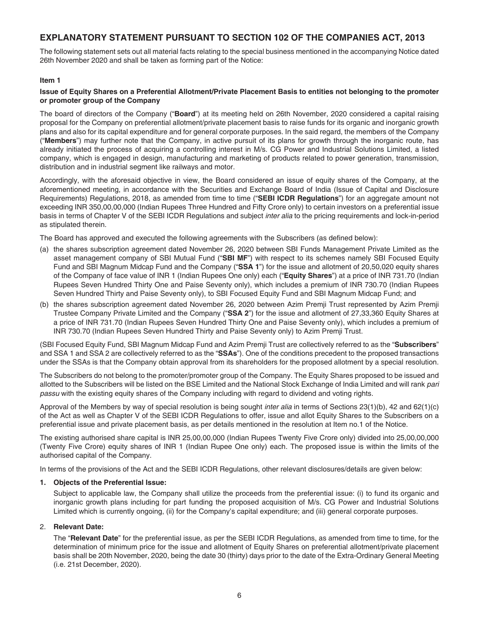# **EXPLANATORY STATEMENT PURSUANT TO SECTION 102 OF THE COMPANIES ACT, 2013**

The following statement sets out all material facts relating to the special business mentioned in the accompanying Notice dated 26th November 2020 and shall be taken as forming part of the Notice:

# **Item 1**

# **Issue of Equity Shares on a Preferential Allotment/Private Placement Basis to entities not belonging to the promoter or promoter group of the Company**

The board of directors of the Company ("**Board**") at its meeting held on 26th November, 2020 considered a capital raising proposal for the Company on preferential allotment/private placement basis to raise funds for its organic and inorganic growth plans and also for its capital expenditure and for general corporate purposes. In the said regard, the members of the Company ("**Members**") may further note that the Company, in active pursuit of its plans for growth through the inorganic route, has already initiated the process of acquiring a controlling interest in M/s. CG Power and Industrial Solutions Limited, a listed company, which is engaged in design, manufacturing and marketing of products related to power generation, transmission, distribution and in industrial segment like railways and motor.

Accordingly, with the aforesaid objective in view, the Board considered an issue of equity shares of the Company, at the aforementioned meeting, in accordance with the Securities and Exchange Board of India (Issue of Capital and Disclosure Requirements) Regulations, 2018, as amended from time to time ("**SEBI ICDR Regulations**") for an aggregate amount not exceeding INR 350,00,00,000 (Indian Rupees Three Hundred and Fifty Crore only) to certain investors on a preferential issue basis in terms of Chapter V of the SEBI ICDR Regulations and subject *inter alia* to the pricing requirements and lock-in-period as stipulated therein.

The Board has approved and executed the following agreements with the Subscribers (as defined below):

- (a) the shares subscription agreement dated November 26, 2020 between SBI Funds Management Private Limited as the asset management company of SBI Mutual Fund ("**SBI MF**") with respect to its schemes namely SBI Focused Equity Fund and SBI Magnum Midcap Fund and the Company ("**SSA 1**") for the issue and allotment of 20,50,020 equity shares of the Company of face value of INR 1 (Indian Rupees One only) each ("**Equity Shares**") at a price of INR 731.70 (Indian Rupees Seven Hundred Thirty One and Paise Seventy only), which includes a premium of INR 730.70 (Indian Rupees Seven Hundred Thirty and Paise Seventy only), to SBI Focused Equity Fund and SBI Magnum Midcap Fund; and
- (b) the shares subscription agreement dated November 26, 2020 between Azim Premji Trust represented by Azim Premji Trustee Company Private Limited and the Company ("**SSA 2**") for the issue and allotment of 27,33,360 Equity Shares at a price of INR 731.70 (Indian Rupees Seven Hundred Thirty One and Paise Seventy only), which includes a premium of INR 730.70 (Indian Rupees Seven Hundred Thirty and Paise Seventy only) to Azim Premji Trust.

( SBI Focused Equity Fund, SBI Magnum Midcap Fund and Azim Premji Trust are collectively referred to as the "**Subscribers**" and SSA 1 and SSA 2 are collectively referred to as the "**SSAs**"). One of the conditions precedent to the proposed transactions under the SSAs is that the Company obtain approval from its shareholders for the proposed allotment by a special resolution.

The Subscribers do not belong to the promoter/promoter group of the Company. The Equity Shares proposed to be issued and allotted to the Subscribers will be listed on the BSE Limited and the National Stock Exchange of India Limited and will rank *pari passu* with the existing equity shares of the Company including with regard to dividend and voting rights.

Approval of the Members by way of special resolution is being sought *inter alia* in terms of Sections 23(1)(b), 42 and 62(1)(c) of the Act as well as Chapter V of the SEBI ICDR Regulations to offer, issue and allot Equity Shares to the Subscribers on a preferential issue and private placement basis, as per details mentioned in the resolution at Item no.1 of the Notice.

The existing authorised share capital is INR 25,00,00,000 (Indian Rupees Twenty Five Crore only) divided into 25,00,00,000 (Twenty Five Crore) equity shares of INR 1 (Indian Rupee One only) each. The proposed issue is within the limits of the authorised capital of the Company.

In terms of the provisions of the Act and the SEBI ICDR Regulations, other relevant disclosures/details are given below:

# **1. Objects of the Preferential Issue:**

 Subject to applicable law, the Company shall utilize the proceeds from the preferential issue: (i) to fund its organic and inorganic growth plans including for part funding the proposed acquisition of M/s. CG Power and Industrial Solutions Limited which is currently ongoing, (ii) for the Company's capital expenditure; and (iii) general corporate purposes.

# 2. **Relevant Date:**

 The "**Relevant Date**" for the preferential issue, as per the SEBI ICDR Regulations, as amended from time to time, for the determination of minimum price for the issue and allotment of Equity Shares on preferential allotment/private placement basis shall be 20th November, 2020, being the date 30 (thirty) days prior to the date of the Extra-Ordinary General Meeting (i.e. 21st December, 2020).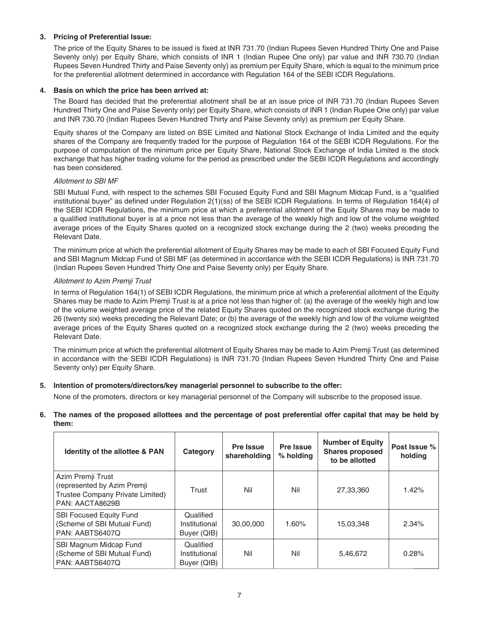# **3. Pricing of Preferential Issue:**

The price of the Equity Shares to be issued is fixed at INR 731.70 (Indian Rupees Seven Hundred Thirty One and Paise Seventy only) per Equity Share, which consists of INR 1 (Indian Rupee One only) par value and INR 730.70 (Indian Rupees Seven Hundred Thirty and Paise Seventy only) as premium per Equity Share, which is equal to the minimum price for the preferential allotment determined in accordance with Regulation 164 of the SEBI ICDR Regulations.

# **4. Basis on which the price has been arrived at:**

 The Board has decided that the preferential allotment shall be at an issue price of INR 731.70 (Indian Rupees Seven Hundred Thirty One and Paise Seventy only) per Equity Share, which consists of INR 1 (Indian Rupee One only) par value and INR 730.70 (Indian Rupees Seven Hundred Thirty and Paise Seventy only) as premium per Equity Share.

 Equity shares of the Company are listed on BSE Limited and National Stock Exchange of India Limited and the equity shares of the Company are frequently traded for the purpose of Regulation 164 of the SEBI ICDR Regulations. For the purpose of computation of the minimum price per Equity Share, National Stock Exchange of India Limited is the stock exchange that has higher trading volume for the period as prescribed under the SEBI ICDR Regulations and accordingly has been considered.

# *Allotment to SBI MF*

SBI Mutual Fund, with respect to the schemes SBI Focused Equity Fund and SBI Magnum Midcap Fund, is a "qualified institutional buyer" as defined under Regulation 2(1)(ss) of the SEBI ICDR Regulations. In terms of Regulation 164(4) of the SEBI ICDR Regulations, the minimum price at which a preferential allotment of the Equity Shares may be made to a qualified institutional buyer is at a price not less than the average of the weekly high and low of the volume weighted average prices of the Equity Shares quoted on a recognized stock exchange during the 2 (two) weeks preceding the Relevant Date.

 The minimum price at which the preferential allotment of Equity Shares may be made to each of SBI Focused Equity Fund and SBI Magnum Midcap Fund of SBI MF (as determined in accordance with the SEBI ICDR Regulations) is INR 731.70 (Indian Rupees Seven Hundred Thirty One and Paise Seventy only) per Equity Share.

## *Allotment to Azim Premji Trust*

 In terms of Regulation 164(1) of SEBI ICDR Regulations, the minimum price at which a preferential allotment of the Equity Shares may be made to Azim Premji Trust is at a price not less than higher of: (a) the average of the weekly high and low of the volume weighted average price of the related Equity Shares quoted on the recognized stock exchange during the 26 (twenty six) weeks preceding the Relevant Date; or (b) the average of the weekly high and low of the volume weighted average prices of the Equity Shares quoted on a recognized stock exchange during the 2 (two) weeks preceding the Relevant Date.

 The minimum price at which the preferential allotment of Equity Shares may be made to Azim Premji Trust (as determined in accordance with the SEBI ICDR Regulations) is INR 731.70 (Indian Rupees Seven Hundred Thirty One and Paise Seventy only) per Equity Share.

# **5. Intention of promoters/directors/key managerial personnel to subscribe to the offer:**

None of the promoters, directors or key managerial personnel of the Company will subscribe to the proposed issue.

**6. The names of the proposed allottees and the percentage of post preferential offer capital that may be held by them:**

| <b>Identity of the allottee &amp; PAN</b>                                                               | Category                                  | Pre Issue<br>shareholding | Pre Issue<br>$%$ holding | <b>Number of Equity</b><br><b>Shares proposed</b><br>to be allotted | Post Issue %<br>holding |
|---------------------------------------------------------------------------------------------------------|-------------------------------------------|---------------------------|--------------------------|---------------------------------------------------------------------|-------------------------|
| Azim Premji Trust<br>(represented by Azim Premji<br>Trustee Company Private Limited)<br>PAN: AACTA8629B | Trust                                     | Nil                       | Nil                      | 27,33,360                                                           | 1.42%                   |
| <b>SBI Focused Equity Fund</b><br>(Scheme of SBI Mutual Fund)<br>PAN: AABTS6407Q                        | Qualified<br>Institutional<br>Buyer (QIB) | 30,00,000                 | 1.60%                    | 15,03,348                                                           | 2.34%                   |
| SBI Magnum Midcap Fund<br>(Scheme of SBI Mutual Fund)<br>PAN: AABTS6407Q                                | Qualified<br>Institutional<br>Buyer (QIB) | Nil                       | Nil                      | 5,46,672                                                            | 0.28%                   |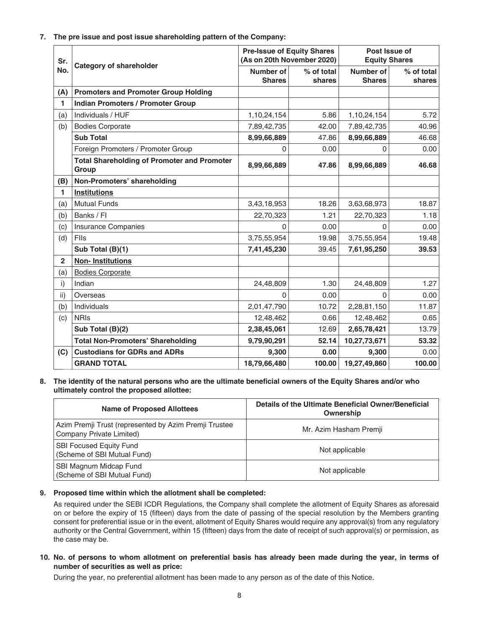**7. The pre issue and post issue shareholding pattern of the Company:**

| Sr.<br>No.     | <b>Category of shareholder</b>                              | <b>Pre-Issue of Equity Shares</b><br>(As on 20th November 2020) |                      | Post Issue of<br><b>Equity Shares</b> |                      |
|----------------|-------------------------------------------------------------|-----------------------------------------------------------------|----------------------|---------------------------------------|----------------------|
|                |                                                             | Number of<br><b>Shares</b>                                      | % of total<br>shares | Number of<br><b>Shares</b>            | % of total<br>shares |
| (A)            | <b>Promoters and Promoter Group Holding</b>                 |                                                                 |                      |                                       |                      |
| 1              | <b>Indian Promoters / Promoter Group</b>                    |                                                                 |                      |                                       |                      |
| (a)            | Individuals / HUF                                           | 1,10,24,154                                                     | 5.86                 | 1,10,24,154                           | 5.72                 |
| (b)            | <b>Bodies Corporate</b>                                     | 7,89,42,735                                                     | 42.00                | 7,89,42,735                           | 40.96                |
|                | <b>Sub Total</b>                                            | 8,99,66,889                                                     | 47.86                | 8,99,66,889                           | 46.68                |
|                | Foreign Promoters / Promoter Group                          | 0                                                               | 0.00                 | 0                                     | 0.00                 |
|                | <b>Total Shareholding of Promoter and Promoter</b><br>Group | 8,99,66,889                                                     | 47.86                | 8,99,66,889                           | 46.68                |
| (B)            | Non-Promoters' shareholding                                 |                                                                 |                      |                                       |                      |
| 1              | <b>Institutions</b>                                         |                                                                 |                      |                                       |                      |
| (a)            | <b>Mutual Funds</b>                                         | 3,43,18,953                                                     | 18.26                | 3,63,68,973                           | 18.87                |
| (b)            | Banks / Fl                                                  | 22,70,323                                                       | 1.21                 | 22,70,323                             | 1.18                 |
| (c)            | <b>Insurance Companies</b>                                  | 0                                                               | 0.00                 | 0                                     | 0.00                 |
| (d)            | Flls                                                        | 3,75,55,954                                                     | 19.98                | 3,75,55,954                           | 19.48                |
|                | Sub Total (B)(1)                                            | 7,41,45,230                                                     | 39.45                | 7,61,95,250                           | 39.53                |
| $\overline{2}$ | <b>Non-Institutions</b>                                     |                                                                 |                      |                                       |                      |
| (a)            | <b>Bodies Corporate</b>                                     |                                                                 |                      |                                       |                      |
| i)             | Indian                                                      | 24,48,809                                                       | 1.30                 | 24,48,809                             | 1.27                 |
| ii)            | Overseas                                                    | $\Omega$                                                        | 0.00                 | $\Omega$                              | 0.00                 |
| (b)            | Individuals                                                 | 2,01,47,790                                                     | 10.72                | 2,28,81,150                           | 11.87                |
| (c)            | <b>NRIS</b>                                                 | 12,48,462                                                       | 0.66                 | 12,48,462                             | 0.65                 |
|                | Sub Total (B)(2)                                            | 2,38,45,061                                                     | 12.69                | 2,65,78,421                           | 13.79                |
|                | <b>Total Non-Promoters' Shareholding</b>                    | 9,79,90,291                                                     | 52.14                | 10,27,73,671                          | 53.32                |
| (C)            | <b>Custodians for GDRs and ADRs</b>                         | 9,300                                                           | 0.00                 | 9,300                                 | 0.00                 |
|                | <b>GRAND TOTAL</b>                                          | 18,79,66,480                                                    | 100.00               | 19,27,49,860                          | 100.00               |

## 8. The identity of the natural persons who are the ultimate beneficial owners of the Equity Shares and/or who **ultimately control the proposed allottee:**

| <b>Name of Proposed Allottees</b>                                                 | Details of the Ultimate Beneficial Owner/Beneficial<br>Ownership |
|-----------------------------------------------------------------------------------|------------------------------------------------------------------|
| Azim Premji Trust (represented by Azim Premji Trustee<br>Company Private Limited) | Mr. Azim Hasham Premji                                           |
| <b>SBI Focused Equity Fund</b><br>(Scheme of SBI Mutual Fund)                     | Not applicable                                                   |
| SBI Magnum Midcap Fund<br>(Scheme of SBI Mutual Fund)                             | Not applicable                                                   |

# **9. Proposed time within which the allotment shall be completed:**

 As required under the SEBI ICDR Regulations, the Company shall complete the allotment of Equity Shares as aforesaid on or before the expiry of 15 (fifteen) days from the date of passing of the special resolution by the Members granting consent for preferential issue or in the event, allotment of Equity Shares would require any approval(s) from any regulatory authority or the Central Government, within 15 (fifteen) days from the date of receipt of such approval(s) or permission, as the case may be.

# **10. No. of persons to whom allotment on preferential basis has already been made during the year, in terms of number of securities as well as price:**

During the year, no preferential allotment has been made to any person as of the date of this Notice.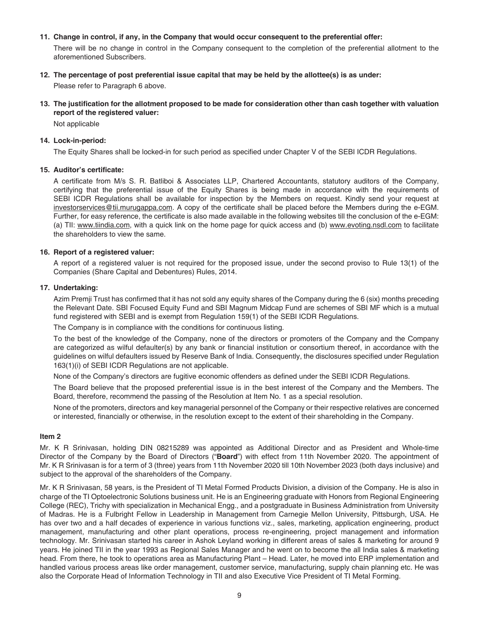# **11. Change in control, if any, in the Company that would occur consequent to the preferential offer:**

 There will be no change in control in the Company consequent to the completion of the preferential allotment to the aforementioned Subscribers.

# **12. The percentage of post preferential issue capital that may be held by the allottee(s) is as under:**

Please refer to Paragraph 6 above.

# 13. The justification for the allotment proposed to be made for consideration other than cash together with valuation **report of the registered valuer:**

Not applicable

# **14. Lock-in-period:**

The Equity Shares shall be locked-in for such period as specified under Chapter V of the SEBI ICDR Regulations.

# 15. Auditor's certificate:

A certificate from M/s S. R. Batliboi & Associates LLP, Chartered Accountants, statutory auditors of the Company, certifying that the preferential issue of the Equity Shares is being made in accordance with the requirements of SEBI ICDR Regulations shall be available for inspection by the Members on request. Kindly send your request at investorservices@tii.murugappa.com. A copy of the certificate shall be placed before the Members during the e-EGM. Further, for easy reference, the certificate is also made available in the following websites till the conclusion of the e-EGM: (a) TII: www.tiindia.com, with a quick link on the home page for quick access and (b) www.evoting.nsdl.com to facilitate the shareholders to view the same.

# **16. Report of a registered valuer:**

 A report of a registered valuer is not required for the proposed issue, under the second proviso to Rule 13(1) of the Companies (Share Capital and Debentures) Rules, 2014.

## **17. Undertaking:**

Azim Premji Trust has confirmed that it has not sold any equity shares of the Company during the 6 (six) months preceding the Relevant Date. SBI Focused Equity Fund and SBI Magnum Midcap Fund are schemes of SBI MF which is a mutual fund registered with SEBI and is exempt from Regulation 159(1) of the SEBI ICDR Regulations.

The Company is in compliance with the conditions for continuous listing.

 To the best of the knowledge of the Company, none of the directors or promoters of the Company and the Company are categorized as wilful defaulter(s) by any bank or financial institution or consortium thereof, in accordance with the guidelines on wilful defaulters issued by Reserve Bank of India. Consequently, the disclosures specified under Regulation 163(1)(i) of SEBI ICDR Regulations are not applicable.

None of the Company's directors are fugitive economic offenders as defined under the SEBI ICDR Regulations.

 The Board believe that the proposed preferential issue is in the best interest of the Company and the Members. The Board, therefore, recommend the passing of the Resolution at Item No. 1 as a special resolution.

 None of the promoters, directors and key managerial personnel of the Company or their respective relatives are concerned or interested, financially or otherwise, in the resolution except to the extent of their shareholding in the Company.

## **Item 2**

Mr. K R Srinivasan, holding DIN 08215289 was appointed as Additional Director and as President and Whole-time Director of the Company by the Board of Directors ("**Board**") with effect from 11th November 2020. The appointment of Mr. K R Srinivasan is for a term of 3 (three) years from 11th November 2020 till 10th November 2023 (both days inclusive) and subject to the approval of the shareholders of the Company.

Mr. K R Srinivasan, 58 years, is the President of TI Metal Formed Products Division, a division of the Company. He is also in charge of the TI Optoelectronic Solutions business unit. He is an Engineering graduate with Honors from Regional Engineering College (REC), Trichy with specialization in Mechanical Engg., and a postgraduate in Business Administration from University of Madras. He is a Fulbright Fellow in Leadership in Management from Carnegie Mellon University, Pittsburgh, USA. He has over two and a half decades of experience in various functions viz., sales, marketing, application engineering, product management, manufacturing and other plant operations, process re-engineering, project management and information technology. Mr. Srinivasan started his career in Ashok Leyland working in different areas of sales & marketing for around 9 years. He joined TII in the year 1993 as Regional Sales Manager and he went on to become the all India sales & marketing head. From there, he took to operations area as Manufacturing Plant – Head. Later, he moved into ERP implementation and handled various process areas like order management, customer service, manufacturing, supply chain planning etc. He was also the Corporate Head of Information Technology in TII and also Executive Vice President of TI Metal Forming.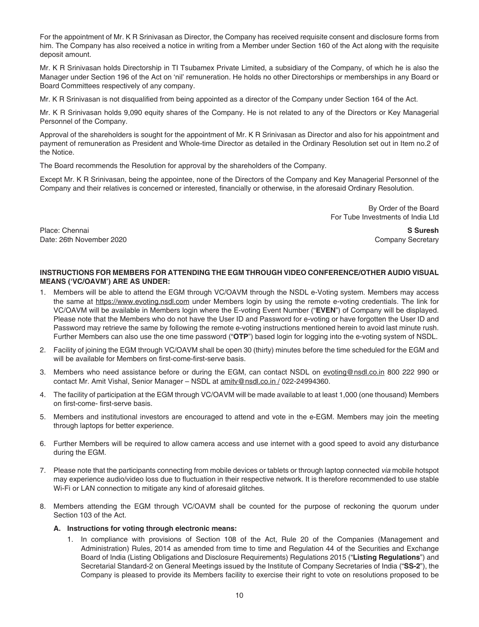For the appointment of Mr. K R Srinivasan as Director, the Company has received requisite consent and disclosure forms from him. The Company has also received a notice in writing from a Member under Section 160 of the Act along with the requisite deposit amount.

Mr. K R Srinivasan holds Directorship in TI Tsubamex Private Limited, a subsidiary of the Company, of which he is also the Manager under Section 196 of the Act on 'nil' remuneration. He holds no other Directorships or memberships in any Board or Board Committees respectively of any company.

Mr. K R Srinivasan is not disqualified from being appointed as a director of the Company under Section 164 of the Act.

Mr. K R Srinivasan holds 9,090 equity shares of the Company. He is not related to any of the Directors or Key Managerial Personnel of the Company.

Approval of the shareholders is sought for the appointment of Mr. K R Srinivasan as Director and also for his appointment and payment of remuneration as President and Whole-time Director as detailed in the Ordinary Resolution set out in Item no.2 of the Notice.

The Board recommends the Resolution for approval by the shareholders of the Company.

Except Mr. K R Srinivasan, being the appointee, none of the Directors of the Company and Key Managerial Personnel of the Company and their relatives is concerned or interested, financially or otherwise, in the aforesaid Ordinary Resolution.

> By Order of the Board For Tube Investments of India Ltd

Place: Chennai **S Suresh** Date: 26th November 2020 Company Secretary

# **INSTRUCTIONS FOR MEMBERS FOR ATTENDING THE EGM THROUGH VIDEO CONFERENCE/OTHER AUDIO VISUAL MEANS ('VC/OAVM') ARE AS UNDER:**

- 1. Members will be able to attend the EGM through VC/OAVM through the NSDL e-Voting system. Members may access the same at https://www.evoting.nsdl.com under Members login by using the remote e-voting credentials. The link for VC/OAVM will be available in Members login where the E-voting Event Number ("**EVEN**") of Company will be displayed. Please note that the Members who do not have the User ID and Password for e-voting or have forgotten the User ID and Password may retrieve the same by following the remote e-voting instructions mentioned herein to avoid last minute rush. Further Members can also use the one time password ("**OTP**") based login for logging into the e-voting system of NSDL.
- 2. Facility of joining the EGM through VC/OAVM shall be open 30 (thirty) minutes before the time scheduled for the EGM and will be available for Members on first-come-first-serve basis.
- 3. Members who need assistance before or during the EGM, can contact NSDL on evoting@nsdl.co.in 800 222 990 or contact Mr. Amit Vishal, Senior Manager – NSDL at amitv@nsdl.co.in / 022-24994360.
- 4. The facility of participation at the EGM through VC/OAVM will be made available to at least 1,000 (one thousand) Members on first-come- first-serve basis.
- 5. Members and institutional investors are encouraged to attend and vote in the e-EGM. Members may join the meeting through laptops for better experience.
- 6. Further Members will be required to allow camera access and use internet with a good speed to avoid any disturbance during the EGM.
- 7. Please note that the participants connecting from mobile devices or tablets or through laptop connected *via* mobile hotspot may experience audio/video loss due to fluctuation in their respective network. It is therefore recommended to use stable Wi-Fi or LAN connection to mitigate any kind of aforesaid glitches.
- 8. Members attending the EGM through VC/OAVM shall be counted for the purpose of reckoning the quorum under Section 103 of the Act.

# **A. Instructions for voting through electronic means:**

 1. In compliance with provisions of Section 108 of the Act, Rule 20 of the Companies (Management and Administration) Rules, 2014 as amended from time to time and Regulation 44 of the Securities and Exchange Board of India (Listing Obligations and Disclosure Requirements) Regulations 2015 ("**Listing Regulations**") and Secretarial Standard-2 on General Meetings issued by the Institute of Company Secretaries of India ("**SS-2**"), the Company is pleased to provide its Members facility to exercise their right to vote on resolutions proposed to be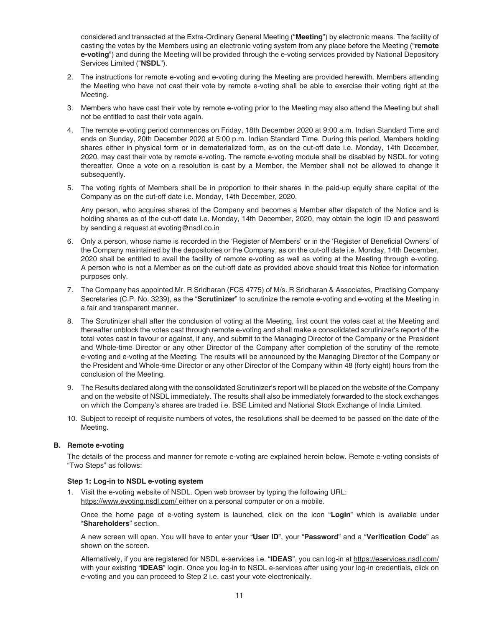considered and transacted at the Extra-Ordinary General Meeting ("**Meeting**") by electronic means. The facility of casting the votes by the Members using an electronic voting system from any place before the Meeting ("**remote e-voting**") and during the Meeting will be provided through the e-voting services provided by National Depository Services Limited ("**NSDL**").

- 2. The instructions for remote e-voting and e-voting during the Meeting are provided herewith. Members attending the Meeting who have not cast their vote by remote e-voting shall be able to exercise their voting right at the Meeting.
- 3. Members who have cast their vote by remote e-voting prior to the Meeting may also attend the Meeting but shall not be entitled to cast their vote again.
- 4. The remote e-voting period commences on Friday, 18th December 2020 at 9:00 a.m. Indian Standard Time and ends on Sunday, 20th December 2020 at 5:00 p.m. Indian Standard Time. During this period, Members holding shares either in physical form or in dematerialized form, as on the cut-off date i.e. Monday, 14th December, 2020, may cast their vote by remote e-voting. The remote e-voting module shall be disabled by NSDL for voting thereafter. Once a vote on a resolution is cast by a Member, the Member shall not be allowed to change it subsequently.
- 5. The voting rights of Members shall be in proportion to their shares in the paid-up equity share capital of the Company as on the cut-off date i.e. Monday, 14th December, 2020.

 Any person, who acquires shares of the Company and becomes a Member after dispatch of the Notice and is holding shares as of the cut-off date i.e. Monday, 14th December, 2020, may obtain the login ID and password by sending a request at evoting@nsdl.co.in

- 6. Only a person, whose name is recorded in the 'Register of Members' or in the 'Register of Beneficial Owners' of the Company maintained by the depositories or the Company, as on the cut-off date i.e. Monday, 14th December, 2020 shall be entitled to avail the facility of remote e-voting as well as voting at the Meeting through e-voting. A person who is not a Member as on the cut-off date as provided above should treat this Notice for information purposes only.
- 7. The Company has appointed Mr. R Sridharan (FCS 4775) of M/s. R Sridharan & Associates, Practising Company Secretaries (C.P. No. 3239), as the "**Scrutinizer**" to scrutinize the remote e-voting and e-voting at the Meeting in a fair and transparent manner.
- 8. The Scrutinizer shall after the conclusion of voting at the Meeting, first count the votes cast at the Meeting and thereafter unblock the votes cast through remote e-voting and shall make a consolidated scrutinizer's report of the total votes cast in favour or against, if any, and submit to the Managing Director of the Company or the President and Whole-time Director or any other Director of the Company after completion of the scrutiny of the remote e-voting and e-voting at the Meeting. The results will be announced by the Managing Director of the Company or the President and Whole-time Director or any other Director of the Company within 48 (forty eight) hours from the conclusion of the Meeting.
- 9. The Results declared along with the consolidated Scrutinizer's report will be placed on the website of the Company and on the website of NSDL immediately. The results shall also be immediately forwarded to the stock exchanges on which the Company's shares are traded i.e. BSE Limited and National Stock Exchange of India Limited.
- 10. Subject to receipt of requisite numbers of votes, the resolutions shall be deemed to be passed on the date of the Meeting.

## **B. Remote e-voting**

 The details of the process and manner for remote e-voting are explained herein below. Remote e-voting consists of "Two Steps" as follows:

## **Step 1: Log-in to NSDL e-voting system**

 1. Visit the e-voting website of NSDL. Open web browser by typing the following URL: https://www.evoting.nsdl.com/ either on a personal computer or on a mobile.

 Once the home page of e-voting system is launched, click on the icon "**Login**" which is available under "**Shareholders**" section.

A new screen will open. You will have to enter your "User ID", your "Password" and a "Verification Code" as shown on the screen.

 Alternatively, if you are registered for NSDL e-services i.e. "**IDEAS**", you can log-in at https://eservices.nsdl.com/ with your existing "**IDEAS**" login. Once you log-in to NSDL e-services after using your log-in credentials, click on e-voting and you can proceed to Step 2 i.e. cast your vote electronically.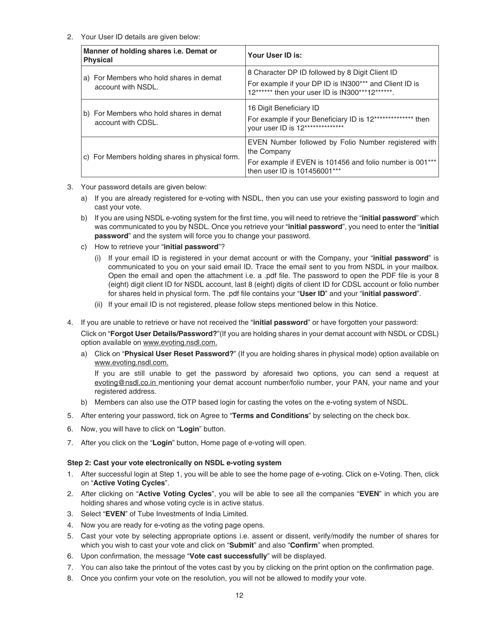# 2. Your User ID details are given below:

| Manner of holding shares i.e. Demat or<br><b>Physical</b>     | Your User ID is:                                                                                                                                             |
|---------------------------------------------------------------|--------------------------------------------------------------------------------------------------------------------------------------------------------------|
| a) For Members who hold shares in demat<br>account with NSDL. | 8 Character DP ID followed by 8 Digit Client ID<br>For example if your DP ID is IN300*** and Client ID is<br>12****** then your user ID is IN300***12******. |
| b) For Members who hold shares in demat<br>account with CDSL. | 16 Digit Beneficiary ID<br>For example if your Beneficiary ID is 12*************** then<br>your user ID is 12***************                                 |
| c) For Members holding shares in physical form.               | EVEN Number followed by Folio Number registered with<br>the Company<br>For example if EVEN is 101456 and folio number is 001***                              |
|                                                               | then user ID is 101456001***                                                                                                                                 |

- 3. Your password details are given below:
	- a) If you are already registered for e-voting with NSDL, then you can use your existing password to login and cast your vote.
	- b) If you are using NSDL e-voting system for the first time, you will need to retrieve the "**initial password**" which was communicated to you by NSDL. Once you retrieve your "**initial password**", you need to enter the "**initial password**" and the system will force you to change your password.
	- c) How to retrieve your "**initial password**"?
		- (i) If your email ID is registered in your demat account or with the Company, your "**initial password**" is communicated to you on your said email ID. Trace the email sent to you from NSDL in your mailbox. Open the email and open the attachment i.e. a .pdf file. The password to open the PDF file is your 8 (eight) digit client ID for NSDL account, last 8 (eight) digits of client ID for CDSL account or folio number for shares held in physical form. The .pdf file contains your "User ID" and your "initial password".
		- (ii) If your email ID is not registered, please follow steps mentioned below in this Notice.
- 4. If you are unable to retrieve or have not received the "**initial password**" or have forgotten your password:

 Click on "**Forgot User Details/Password?**"(If you are holding shares in your demat account with NSDL or CDSL) option available on www.evoting.nsdl.com.

 a) Click on "**Physical User Reset Password?**" (If you are holding shares in physical mode) option available on www.evoting.nsdl.com.

 If you are still unable to get the password by aforesaid two options, you can send a request at evoting@nsdl.co.in mentioning your demat account number/folio number, your PAN, your name and your registered address.

- b) Members can also use the OTP based login for casting the votes on the e-voting system of NSDL.
- 5. After entering your password, tick on Agree to "**Terms and Conditions**" by selecting on the check box.
- 6. Now, you will have to click on "**Login**" button.
- 7. After you click on the "**Login**" button, Home page of e-voting will open.

## **Step 2: Cast your vote electronically on NSDL e-voting system**

- 1. After successful login at Step 1, you will be able to see the home page of e-voting. Click on e-Voting. Then, click on "**Active Voting Cycles**".
- 2. After clicking on "**Active Voting Cycles**", you will be able to see all the companies "**EVEN**" in which you are holding shares and whose voting cycle is in active status.
- 3. Select "**EVEN**" of Tube Investments of India Limited.
- 4. Now you are ready for e-voting as the voting page opens.
- 5. Cast your vote by selecting appropriate options i.e. assent or dissent, verify/modify the number of shares for which you wish to cast your vote and click on "**Submit**" and also "**Confirm**" when prompted.
- 6. Upon confirmation, the message "Vote cast successfully" will be displayed.
- 7. You can also take the printout of the votes cast by you by clicking on the print option on the confirmation page.
- 8. Once you confirm your vote on the resolution, you will not be allowed to modify your vote.